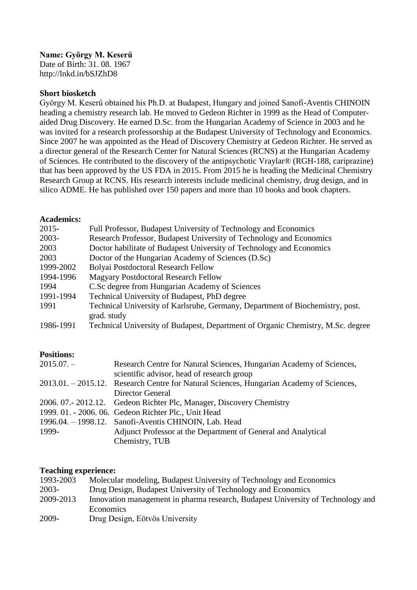# **Name: György M. Keserű**

Date of Birth: 31. 08. 1967 http://lnkd.in/bSJZhD8

### **Short biosketch**

György M. Keserű obtained his Ph.D. at Budapest, Hungary and joined Sanofi-Aventis CHINOIN heading a chemistry research lab. He moved to Gedeon Richter in 1999 as the Head of Computeraided Drug Discovery. He earned D.Sc. from the Hungarian Academy of Science in 2003 and he was invited for a research professorship at the Budapest University of Technology and Economics. Since 2007 he was appointed as the Head of Discovery Chemistry at Gedeon Richter. He served as a director general of the Research Center for Natural Sciences (RCNS) at the Hungarian Academy of Sciences. He contributed to the discovery of the antipsychotic Vraylar® (RGH-188, cariprazine) that has been approved by the US FDA in 2015. From 2015 he is heading the Medicinal Chemistry Research Group at RCNS. His research interests include medicinal chemistry, drug design, and in silico ADME. He has published over 150 papers and more than 10 books and book chapters.

## **Academics:**

| $2015 -$  | Full Professor, Budapest University of Technology and Economics                 |
|-----------|---------------------------------------------------------------------------------|
| $2003 -$  | Research Professor, Budapest University of Technology and Economics             |
| 2003      | Doctor habilitate of Budapest University of Technology and Economics            |
| 2003      | Doctor of the Hungarian Academy of Sciences (D.Sc)                              |
| 1999-2002 | Bolyai Postdoctoral Research Fellow                                             |
| 1994-1996 | <b>Magyary Postdoctoral Research Fellow</b>                                     |
| 1994      | C.Sc degree from Hungarian Academy of Sciences                                  |
| 1991-1994 | Technical University of Budapest, PhD degree                                    |
| 1991      | Technical University of Karlsruhe, Germany, Department of Biochemistry, post.   |
|           | grad. study                                                                     |
| 1986-1991 | Technical University of Budapest, Department of Organic Chemistry, M.Sc. degree |

# **Positions:**

| $2015.07. -$ | Research Centre for Natural Sciences, Hungarian Academy of Sciences,                     |
|--------------|------------------------------------------------------------------------------------------|
|              | scientific advisor, head of research group                                               |
|              | 2013.01. – 2015.12. Research Centre for Natural Sciences, Hungarian Academy of Sciences, |
|              | Director General                                                                         |
|              | 2006. 07.- 2012.12. Gedeon Richter Plc, Manager, Discovery Chemistry                     |
|              | 1999. 01. - 2006. 06. Gedeon Richter Plc., Unit Head                                     |
|              | 1996.04. – 1998.12. Sanofi-Aventis CHINOIN, Lab. Head                                    |
| 1999-        | Adjunct Professor at the Department of General and Analytical                            |
|              | Chemistry, TUB                                                                           |

#### **Teaching experience:**

| 1993-2003 | Molecular modeling, Budapest University of Technology and Economics             |
|-----------|---------------------------------------------------------------------------------|
| $2003 -$  | Drug Design, Budapest University of Technology and Economics                    |
| 2009-2013 | Innovation management in pharma research, Budapest University of Technology and |
|           | <b>Economics</b>                                                                |
| 2009-     | Drug Design, Eötvös University                                                  |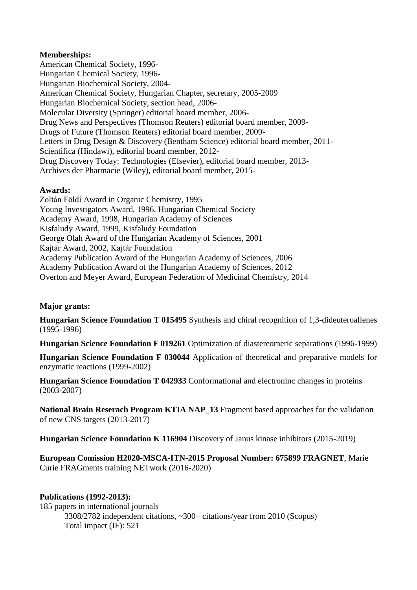## **Memberships:**

American Chemical Society, 1996- Hungarian Chemical Society, 1996- Hungarian Biochemical Society, 2004- American Chemical Society, Hungarian Chapter, secretary, 2005-2009 Hungarian Biochemical Society, section head, 2006- Molecular Diversity (Springer) editorial board member, 2006- Drug News and Perspectives (Thomson Reuters) editorial board member, 2009- Drugs of Future (Thomson Reuters) editorial board member, 2009- Letters in Drug Design & Discovery (Bentham Science) editorial board member, 2011- Scientifica (Hindawi), editorial board member, 2012- Drug Discovery Today: Technologies (Elsevier), editorial board member, 2013- Archives der Pharmacie (Wiley), editorial board member, 2015-

## **Awards:**

Zoltán Földi Award in Organic Chemistry, 1995 Young Investigators Award, 1996, Hungarian Chemical Society Academy Award, 1998, Hungarian Academy of Sciences Kisfaludy Award, 1999, Kisfaludy Foundation George Olah Award of the Hungarian Academy of Sciences, 2001 Kajtár Award, 2002, Kajtár Foundation Academy Publication Award of the Hungarian Academy of Sciences, 2006 Academy Publication Award of the Hungarian Academy of Sciences, 2012 Overton and Meyer Award, European Federation of Medicinal Chemistry, 2014

# **Major grants:**

**Hungarian Science Foundation T 015495** Synthesis and chiral recognition of 1,3-dideuteroallenes (1995-1996)

**Hungarian Science Foundation F 019261** Optimization of diastereomeric separations (1996-1999)

**Hungarian Science Foundation F 030044** Application of theoretical and preparative models for enzymatic reactions (1999-2002)

**Hungarian Science Foundation T 042933** Conformational and electroninc changes in proteins (2003-2007)

**National Brain Reserach Program KTIA NAP\_13** Fragment based approaches for the validation of new CNS targets (2013-2017)

**Hungarian Science Foundation K 116904** Discovery of Janus kinase inhibitors (2015-2019)

**European Comission H2020-MSCA-ITN-2015 Proposal Number: 675899 FRAGNET**, Marie Curie FRAGments training NETwork (2016-2020)

### **Publications (1992-2013):**

185 papers in international journals 3308/2782 independent citations, ~300+ citations/year from 2010 (Scopus) Total impact (IF): 521